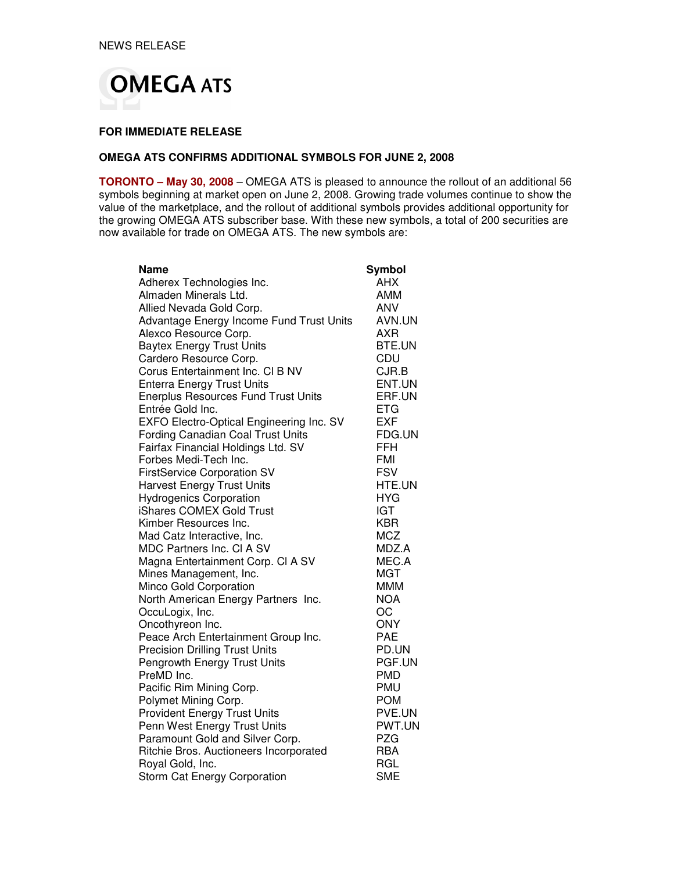

#### **FOR IMMEDIATE RELEASE**

## **OMEGA ATS CONFIRMS ADDITIONAL SYMBOLS FOR JUNE 2, 2008**

**TORONTO – May 30, 2008** – OMEGA ATS is pleased to announce the rollout of an additional 56 symbols beginning at market open on June 2, 2008. Growing trade volumes continue to show the value of the marketplace, and the rollout of additional symbols provides additional opportunity for the growing OMEGA ATS subscriber base. With these new symbols, a total of 200 securities are now available for trade on OMEGA ATS. The new symbols are:

| Name                                       | Symbol     |
|--------------------------------------------|------------|
| Adherex Technologies Inc.                  | <b>AHX</b> |
| Almaden Minerals Ltd.                      | <b>AMM</b> |
| Allied Nevada Gold Corp.                   | <b>ANV</b> |
| Advantage Energy Income Fund Trust Units   | AVN.UN     |
| Alexco Resource Corp.                      | AXR        |
| <b>Baytex Energy Trust Units</b>           | BTE.UN     |
| Cardero Resource Corp.                     | CDU        |
| Corus Entertainment Inc. CI B NV           | CJR.B      |
| <b>Enterra Energy Trust Units</b>          | ENT.UN     |
| <b>Enerplus Resources Fund Trust Units</b> | ERF.UN     |
| Entrée Gold Inc.                           | <b>ETG</b> |
| EXFO Electro-Optical Engineering Inc. SV   | <b>EXF</b> |
| Fording Canadian Coal Trust Units          | FDG.UN     |
| Fairfax Financial Holdings Ltd. SV         | <b>FFH</b> |
| Forbes Medi-Tech Inc.                      | <b>FMI</b> |
| <b>FirstService Corporation SV</b>         | <b>FSV</b> |
| <b>Harvest Energy Trust Units</b>          | HTE.UN     |
| <b>Hydrogenics Corporation</b>             | <b>HYG</b> |
| iShares COMEX Gold Trust                   | <b>IGT</b> |
| Kimber Resources Inc.                      | <b>KBR</b> |
| Mad Catz Interactive, Inc.                 | <b>MCZ</b> |
| MDC Partners Inc. CI A SV                  | MDZ.A      |
| Magna Entertainment Corp. CI A SV          | MEC.A      |
| Mines Management, Inc.                     | MGT        |
| Minco Gold Corporation                     | <b>MMM</b> |
| North American Energy Partners Inc.        | <b>NOA</b> |
| OccuLogix, Inc.                            | OC         |
| Oncothyreon Inc.                           | <b>ONY</b> |
| Peace Arch Entertainment Group Inc.        | <b>PAE</b> |
| <b>Precision Drilling Trust Units</b>      | PD.UN      |
| Pengrowth Energy Trust Units               | PGF.UN     |
| PreMD Inc.                                 | <b>PMD</b> |
| Pacific Rim Mining Corp.                   | <b>PMU</b> |
| Polymet Mining Corp.                       | <b>POM</b> |
| <b>Provident Energy Trust Units</b>        | PVE.UN     |
| Penn West Energy Trust Units               | PWT.UN     |
| Paramount Gold and Silver Corp.            | <b>PZG</b> |
| Ritchie Bros. Auctioneers Incorporated     | <b>RBA</b> |
| Royal Gold, Inc.                           | RGL        |
| Storm Cat Energy Corporation               | <b>SME</b> |